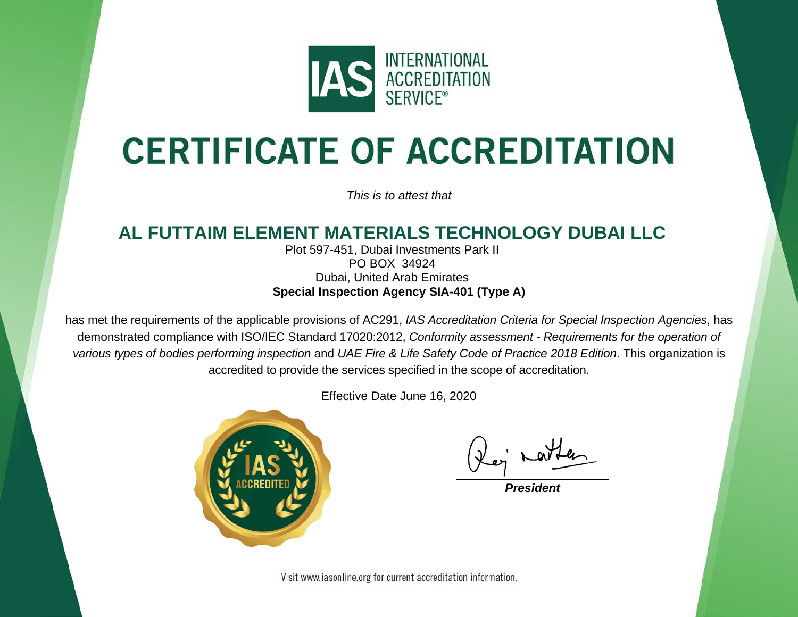

## **CERTIFICATE OF ACCREDITATION**

*This is to attest that*

## **AL FUTTAIM ELEMENT MATERIALS TECHNOLOGY DUBAI LLC**

Plot 597-451, Dubai Investments Park II PO BOX 34924 Dubai, United Arab Emirates **Special Inspection Agency SIA-401 (Type A)**

has met the requirements of the applicable provisions of AC291, *IAS Accreditation Criteria for Special Inspection Agencies*, has demonstrated compliance with ISO/IEC Standard 17020:2012, *Conformity assessment - Requirements for the operation of various types of bodies performing inspection* and *UAE Fire & Life Safety Code of Practice 2018 Edition*. This organization is accredited to provide the services specified in the scope of accreditation.

Effective Date June 16, 2020



*President*

Visit www.iasonline.org for current accreditation information.